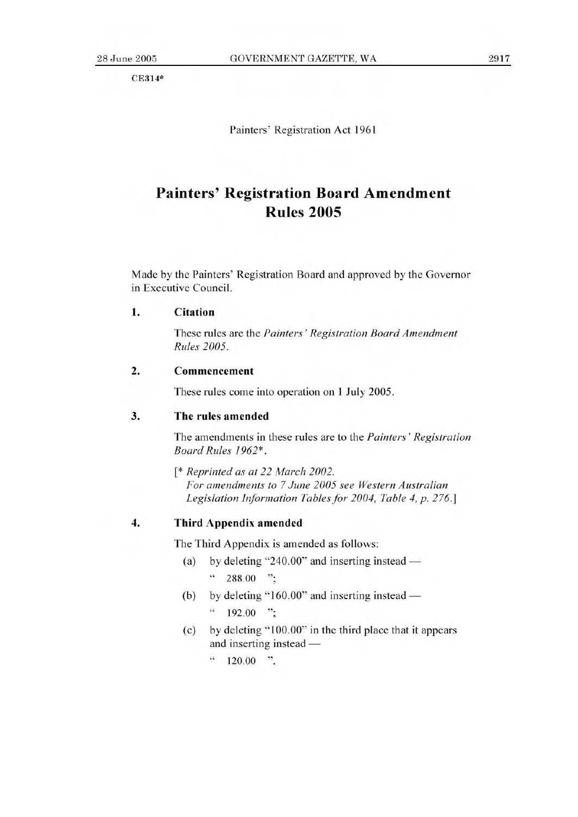CE314\*

Painters' Registration Act 1961

# **Painters' Registration Board Amendment Rules 2005**

Made by the Painters' Registration Board and approved by the Governor in Executive Council.

## **1. Citation**

These rules are the *Painters' Registration Board Amendment Rules 2005.* 

#### **2. Commencement**

These rules come into operation on 1 July 2005.

### 3. The rules amended

The amendments in these rules are to the *Painters' Registration Board Rules 1962\*.* 

*[\* Reprinted as at 22 March 2002. For amendments to 7 June 2005 see Western Australian Legislation Information Tables for 2004, Table 4, p. 276.]* 

## **4. Third Appendix amended**

The Third Appendix is amended as follows:

- (a) by deleting "240.00" and inserting instead  $\frac{1}{288.00}$  ";
- (b) by deleting "160.00" and inserting instead  $\cdot$  192.00 ";
- (c) by deleting "100.00" in the third place that it appears and inserting instead —

 $\frac{120.00}{\pi}$  ".